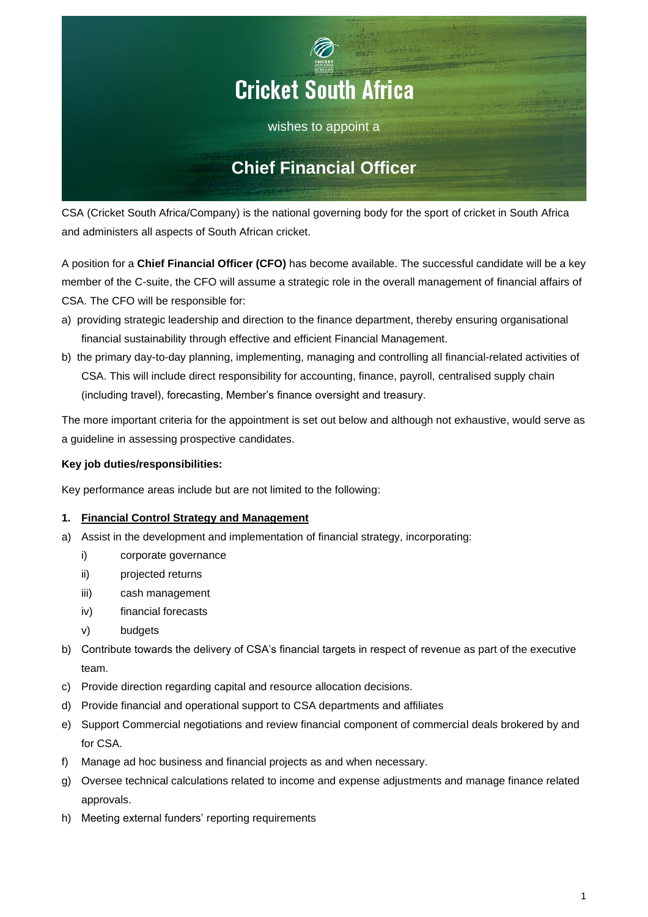

CSA (Cricket South Africa/Company) is the national governing body for the sport of cricket in South Africa and administers all aspects of South African cricket.

A position for a **Chief Financial Officer (CFO)** has become available. The successful candidate will be a key member of the C-suite, the CFO will assume a strategic role in the overall management of financial affairs of CSA. The CFO will be responsible for:

- a) providing strategic leadership and direction to the finance department, thereby ensuring organisational financial sustainability through effective and efficient Financial Management.
- b) the primary day-to-day planning, implementing, managing and controlling all financial-related activities of CSA. This will include direct responsibility for accounting, finance, payroll, centralised supply chain (including travel), forecasting, Member's finance oversight and treasury.

The more important criteria for the appointment is set out below and although not exhaustive, would serve as a guideline in assessing prospective candidates.

## **Key job duties/responsibilities:**

Key performance areas include but are not limited to the following:

## **1. Financial Control Strategy and Management**

- a) Assist in the development and implementation of financial strategy, incorporating:
	- i) corporate governance
	- ii) projected returns
	- iii) cash management
	- iv) financial forecasts
	- v) budgets
- b) Contribute towards the delivery of CSA's financial targets in respect of revenue as part of the executive team.
- c) Provide direction regarding capital and resource allocation decisions.
- d) Provide financial and operational support to CSA departments and affiliates
- e) Support Commercial negotiations and review financial component of commercial deals brokered by and for CSA.
- f) Manage ad hoc business and financial projects as and when necessary.
- g) Oversee technical calculations related to income and expense adjustments and manage finance related approvals.
- h) Meeting external funders' reporting requirements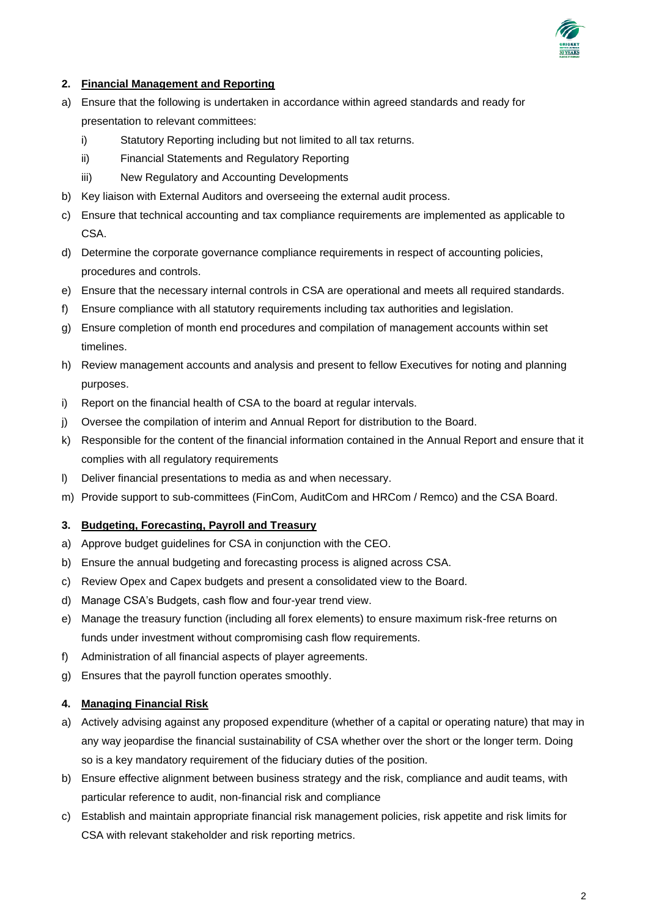

#### **2. Financial Management and Reporting**

- a) Ensure that the following is undertaken in accordance within agreed standards and ready for presentation to relevant committees:
	- i) Statutory Reporting including but not limited to all tax returns.
	- ii) Financial Statements and Regulatory Reporting
	- iii) New Regulatory and Accounting Developments
- b) Key liaison with External Auditors and overseeing the external audit process.
- c) Ensure that technical accounting and tax compliance requirements are implemented as applicable to CSA.
- d) Determine the corporate governance compliance requirements in respect of accounting policies, procedures and controls.
- e) Ensure that the necessary internal controls in CSA are operational and meets all required standards.
- f) Ensure compliance with all statutory requirements including tax authorities and legislation.
- g) Ensure completion of month end procedures and compilation of management accounts within set timelines.
- h) Review management accounts and analysis and present to fellow Executives for noting and planning purposes.
- i) Report on the financial health of CSA to the board at regular intervals.
- j) Oversee the compilation of interim and Annual Report for distribution to the Board.
- k) Responsible for the content of the financial information contained in the Annual Report and ensure that it complies with all regulatory requirements
- l) Deliver financial presentations to media as and when necessary.
- m) Provide support to sub-committees (FinCom, AuditCom and HRCom / Remco) and the CSA Board.

#### **3. Budgeting, Forecasting, Payroll and Treasury**

- a) Approve budget guidelines for CSA in conjunction with the CEO.
- b) Ensure the annual budgeting and forecasting process is aligned across CSA.
- c) Review Opex and Capex budgets and present a consolidated view to the Board.
- d) Manage CSA's Budgets, cash flow and four-year trend view.
- e) Manage the treasury function (including all forex elements) to ensure maximum risk-free returns on funds under investment without compromising cash flow requirements.
- f) Administration of all financial aspects of player agreements.
- g) Ensures that the payroll function operates smoothly.

#### **4. Managing Financial Risk**

- a) Actively advising against any proposed expenditure (whether of a capital or operating nature) that may in any way jeopardise the financial sustainability of CSA whether over the short or the longer term. Doing so is a key mandatory requirement of the fiduciary duties of the position.
- b) Ensure effective alignment between business strategy and the risk, compliance and audit teams, with particular reference to audit, non-financial risk and compliance
- c) Establish and maintain appropriate financial risk management policies, risk appetite and risk limits for CSA with relevant stakeholder and risk reporting metrics.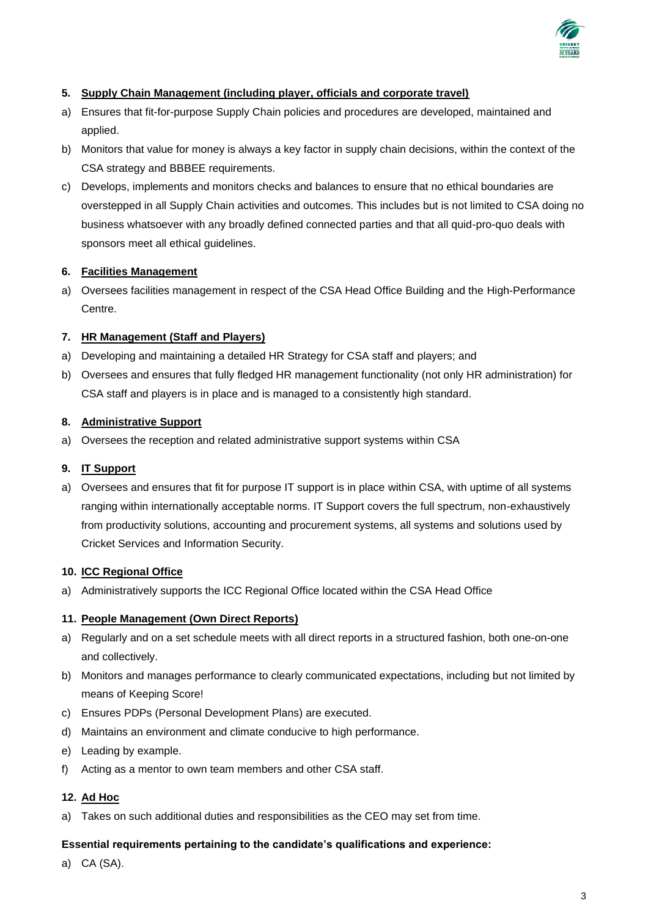

## **5. Supply Chain Management (including player, officials and corporate travel)**

- a) Ensures that fit-for-purpose Supply Chain policies and procedures are developed, maintained and applied.
- b) Monitors that value for money is always a key factor in supply chain decisions, within the context of the CSA strategy and BBBEE requirements.
- c) Develops, implements and monitors checks and balances to ensure that no ethical boundaries are overstepped in all Supply Chain activities and outcomes. This includes but is not limited to CSA doing no business whatsoever with any broadly defined connected parties and that all quid-pro-quo deals with sponsors meet all ethical guidelines.

## **6. Facilities Management**

a) Oversees facilities management in respect of the CSA Head Office Building and the High-Performance Centre.

# **7. HR Management (Staff and Players)**

- a) Developing and maintaining a detailed HR Strategy for CSA staff and players; and
- b) Oversees and ensures that fully fledged HR management functionality (not only HR administration) for CSA staff and players is in place and is managed to a consistently high standard.

## **8. Administrative Support**

a) Oversees the reception and related administrative support systems within CSA

## **9. IT Support**

a) Oversees and ensures that fit for purpose IT support is in place within CSA, with uptime of all systems ranging within internationally acceptable norms. IT Support covers the full spectrum, non-exhaustively from productivity solutions, accounting and procurement systems, all systems and solutions used by Cricket Services and Information Security.

#### **10. ICC Regional Office**

a) Administratively supports the ICC Regional Office located within the CSA Head Office

## **11. People Management (Own Direct Reports)**

- a) Regularly and on a set schedule meets with all direct reports in a structured fashion, both one-on-one and collectively.
- b) Monitors and manages performance to clearly communicated expectations, including but not limited by means of Keeping Score!
- c) Ensures PDPs (Personal Development Plans) are executed.
- d) Maintains an environment and climate conducive to high performance.
- e) Leading by example.
- f) Acting as a mentor to own team members and other CSA staff.

## **12. Ad Hoc**

a) Takes on such additional duties and responsibilities as the CEO may set from time.

#### **Essential requirements pertaining to the candidate's qualifications and experience:**

a) CA (SA).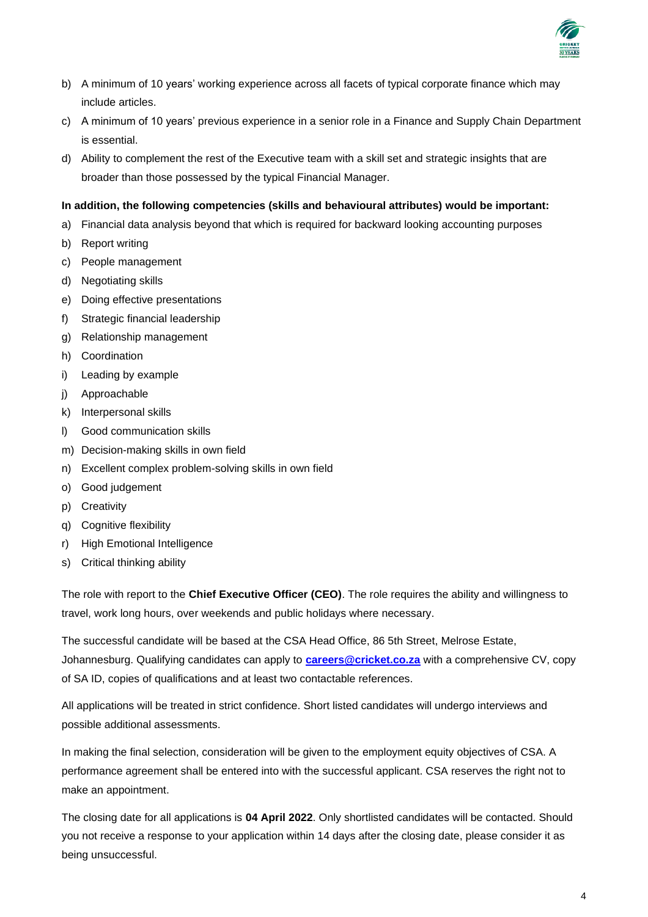

- b) A minimum of 10 years' working experience across all facets of typical corporate finance which may include articles.
- c) A minimum of 10 years' previous experience in a senior role in a Finance and Supply Chain Department is essential.
- d) Ability to complement the rest of the Executive team with a skill set and strategic insights that are broader than those possessed by the typical Financial Manager.

## **In addition, the following competencies (skills and behavioural attributes) would be important:**

- a) Financial data analysis beyond that which is required for backward looking accounting purposes
- b) Report writing
- c) People management
- d) Negotiating skills
- e) Doing effective presentations
- f) Strategic financial leadership
- g) Relationship management
- h) Coordination
- i) Leading by example
- j) Approachable
- k) Interpersonal skills
- l) Good communication skills
- m) Decision-making skills in own field
- n) Excellent complex problem-solving skills in own field
- o) Good judgement
- p) Creativity
- q) Cognitive flexibility
- r) High Emotional Intelligence
- s) Critical thinking ability

The role with report to the **Chief Executive Officer (CEO)**. The role requires the ability and willingness to travel, work long hours, over weekends and public holidays where necessary.

The successful candidate will be based at the CSA Head Office, 86 5th Street, Melrose Estate, Johannesburg. Qualifying candidates can apply to **[careers@cricket.co.za](mailto:careers@cricket.co.za)** with a comprehensive CV, copy of SA ID, copies of qualifications and at least two contactable references.

All applications will be treated in strict confidence. Short listed candidates will undergo interviews and possible additional assessments.

In making the final selection, consideration will be given to the employment equity objectives of CSA. A performance agreement shall be entered into with the successful applicant. CSA reserves the right not to make an appointment.

The closing date for all applications is **04 April 2022**. Only shortlisted candidates will be contacted. Should you not receive a response to your application within 14 days after the closing date, please consider it as being unsuccessful.